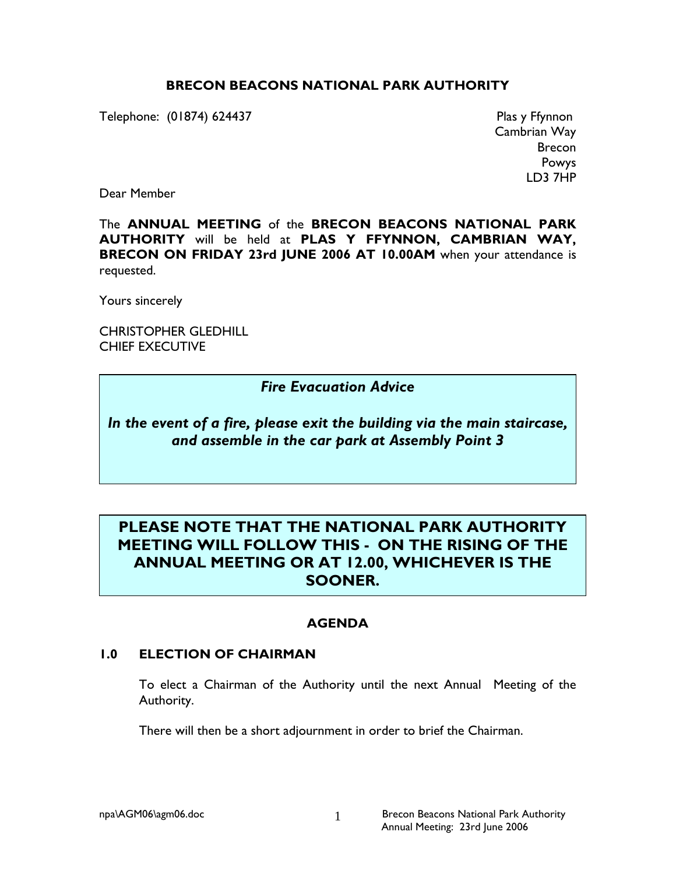## BRECON BEACONS NATIONAL PARK AUTHORITY

Telephone: (01874) 624437 Plas y Ffynnon

Cambrian Way Brecon Powys LD3 7HP

Dear Member

The ANNUAL MEETING of the BRECON BEACONS NATIONAL PARK AUTHORITY will be held at PLAS Y FFYNNON, CAMBRIAN WAY, BRECON ON FRIDAY 23rd JUNE 2006 AT 10.00AM when your attendance is requested.

Yours sincerely

CHRISTOPHER GLEDHILL CHIEF EXECUTIVE

## Fire Evacuation Advice

In the event of a fire, please exit the building via the main staircase, and assemble in the car park at Assembly Point 3

# PLEASE NOTE THAT THE NATIONAL PARK AUTHORITY MEETING WILL FOLLOW THIS - ON THE RISING OF THE ANNUAL MEETING OR AT 12.00, WHICHEVER IS THE SOONER.

## AGENDA

#### 1.0 ELECTION OF CHAIRMAN

 To elect a Chairman of the Authority until the next Annual Meeting of the Authority.

There will then be a short adjournment in order to brief the Chairman.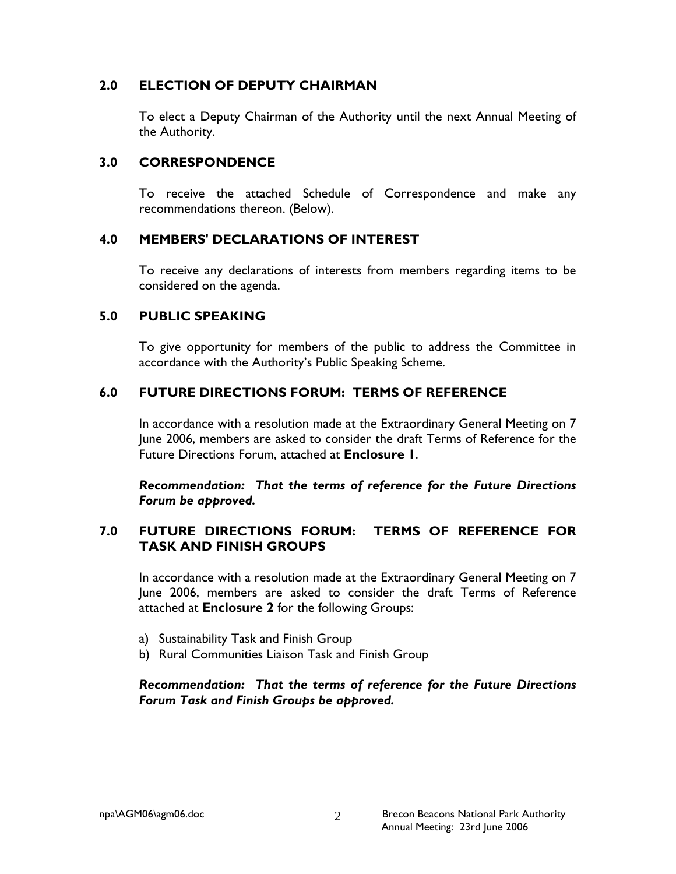## 2.0 ELECTION OF DEPUTY CHAIRMAN

 To elect a Deputy Chairman of the Authority until the next Annual Meeting of the Authority.

### 3.0 CORRESPONDENCE

To receive the attached Schedule of Correspondence and make any recommendations thereon. (Below).

## 4.0 MEMBERS' DECLARATIONS OF INTEREST

 To receive any declarations of interests from members regarding items to be considered on the agenda.

### 5.0 PUBLIC SPEAKING

To give opportunity for members of the public to address the Committee in accordance with the Authority's Public Speaking Scheme.

### 6.0 FUTURE DIRECTIONS FORUM: TERMS OF REFERENCE

In accordance with a resolution made at the Extraordinary General Meeting on 7 June 2006, members are asked to consider the draft Terms of Reference for the Future Directions Forum, attached at Enclosure 1.

Recommendation: That the terms of reference for the Future Directions Forum be approved.

## 7.0 FUTURE DIRECTIONS FORUM: TERMS OF REFERENCE FOR TASK AND FINISH GROUPS

In accordance with a resolution made at the Extraordinary General Meeting on 7 June 2006, members are asked to consider the draft Terms of Reference attached at Enclosure 2 for the following Groups:

- a) Sustainability Task and Finish Group
- b) Rural Communities Liaison Task and Finish Group

### Recommendation: That the terms of reference for the Future Directions Forum Task and Finish Groups be approved.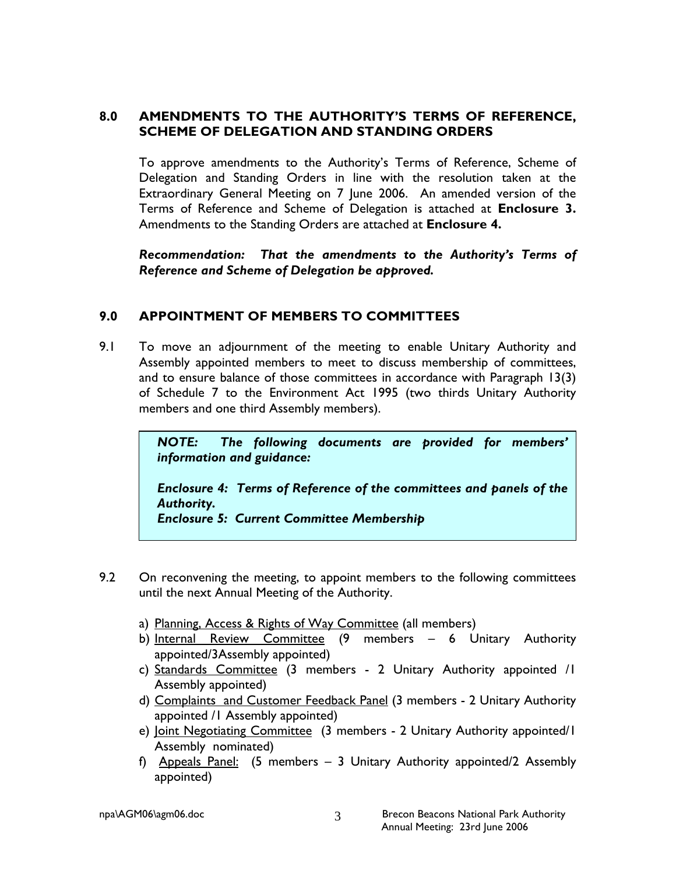## 8.0 AMENDMENTS TO THE AUTHORITY'S TERMS OF REFERENCE, SCHEME OF DELEGATION AND STANDING ORDERS

To approve amendments to the Authority's Terms of Reference, Scheme of Delegation and Standing Orders in line with the resolution taken at the Extraordinary General Meeting on 7 June 2006. An amended version of the Terms of Reference and Scheme of Delegation is attached at Enclosure 3. Amendments to the Standing Orders are attached at Enclosure 4.

Recommendation: That the amendments to the Authority's Terms of Reference and Scheme of Delegation be approved.

## 9.0 APPOINTMENT OF MEMBERS TO COMMITTEES

9.1 To move an adjournment of the meeting to enable Unitary Authority and Assembly appointed members to meet to discuss membership of committees, and to ensure balance of those committees in accordance with Paragraph 13(3) of Schedule 7 to the Environment Act 1995 (two thirds Unitary Authority members and one third Assembly members).

> NOTE: The following documents are provided for members' information and guidance:

> Enclosure 4: Terms of Reference of the committees and panels of the Authority.

Enclosure 5: Current Committee Membership

- 9.2 On reconvening the meeting, to appoint members to the following committees until the next Annual Meeting of the Authority.
	- a) Planning, Access & Rights of Way Committee (all members)
	- b) Internal Review Committee (9 members 6 Unitary Authority appointed/3Assembly appointed)
	- c) Standards Committee (3 members 2 Unitary Authority appointed /1 Assembly appointed)
	- d) Complaints and Customer Feedback Panel (3 members 2 Unitary Authority appointed /1 Assembly appointed)
	- e) Joint Negotiating Committee (3 members 2 Unitary Authority appointed/I Assembly nominated)
	- f) Appeals Panel: (5 members 3 Unitary Authority appointed/2 Assembly appointed)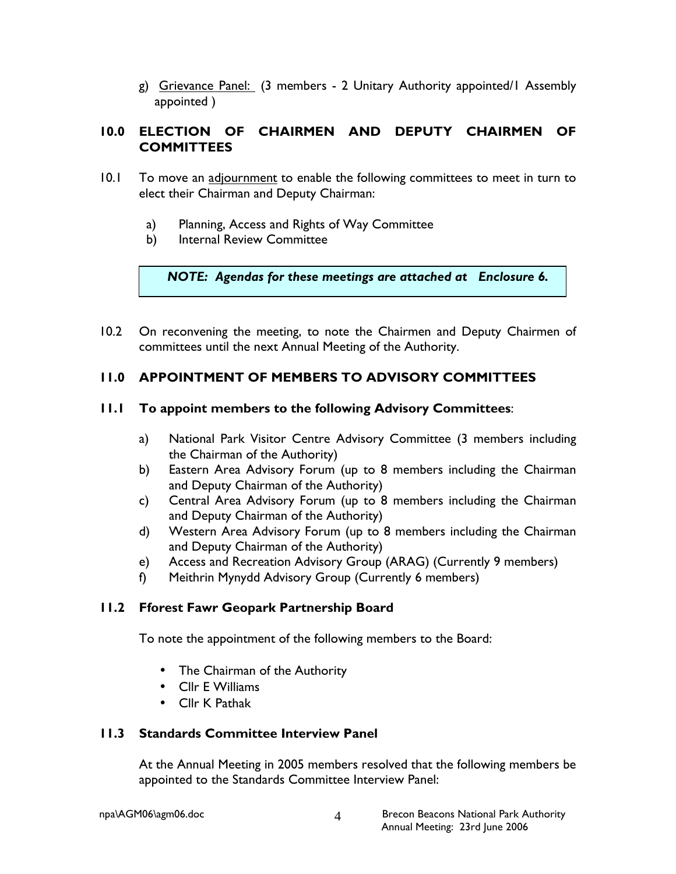g) Grievance Panel: (3 members - 2 Unitary Authority appointed/1 Assembly appointed )

## 10.0 ELECTION OF CHAIRMEN AND DEPUTY CHAIRMEN OF **COMMITTEES**

- 10.1 To move an adjournment to enable the following committees to meet in turn to elect their Chairman and Deputy Chairman:
	- a) Planning, Access and Rights of Way Committee
	- b) Internal Review Committee

NOTE: Agendas for these meetings are attached at Enclosure 6.

10.2 On reconvening the meeting, to note the Chairmen and Deputy Chairmen of committees until the next Annual Meeting of the Authority.

## 11.0 APPOINTMENT OF MEMBERS TO ADVISORY COMMITTEES

### 11.1 To appoint members to the following Advisory Committees:

- a) National Park Visitor Centre Advisory Committee (3 members including the Chairman of the Authority)
- b) Eastern Area Advisory Forum (up to 8 members including the Chairman and Deputy Chairman of the Authority)
- c) Central Area Advisory Forum (up to 8 members including the Chairman and Deputy Chairman of the Authority)
- d) Western Area Advisory Forum (up to 8 members including the Chairman and Deputy Chairman of the Authority)
- e) Access and Recreation Advisory Group (ARAG) (Currently 9 members)
- f) Meithrin Mynydd Advisory Group (Currently 6 members)

## 11.2 Fforest Fawr Geopark Partnership Board

To note the appointment of the following members to the Board:

- The Chairman of the Authority
- Cllr E Williams
- Cllr K Pathak

#### 11.3 Standards Committee Interview Panel

At the Annual Meeting in 2005 members resolved that the following members be appointed to the Standards Committee Interview Panel: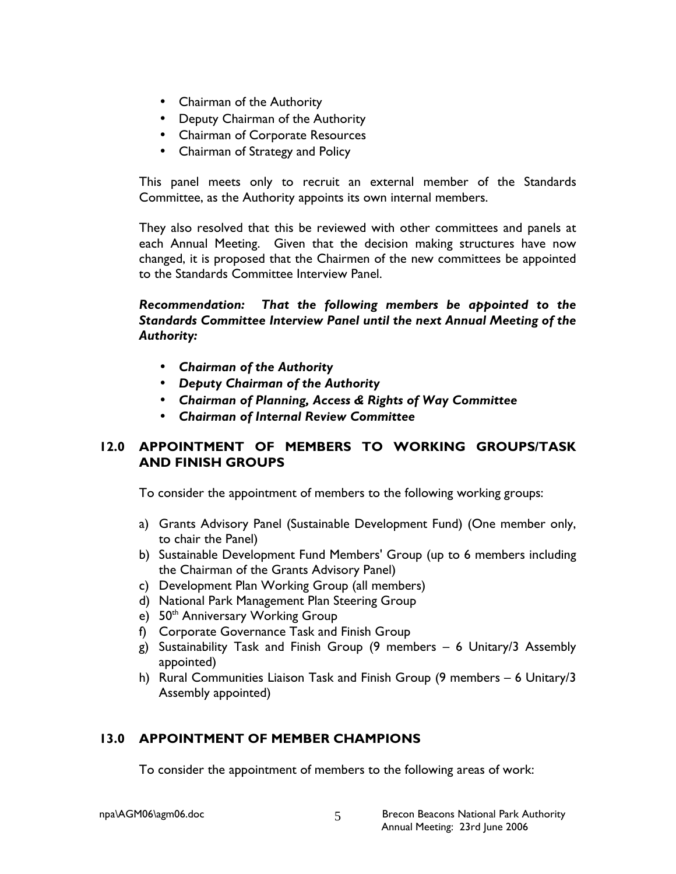- Chairman of the Authority
- Deputy Chairman of the Authority
- Chairman of Corporate Resources
- Chairman of Strategy and Policy

This panel meets only to recruit an external member of the Standards Committee, as the Authority appoints its own internal members.

 They also resolved that this be reviewed with other committees and panels at each Annual Meeting. Given that the decision making structures have now changed, it is proposed that the Chairmen of the new committees be appointed to the Standards Committee Interview Panel.

Recommendation: That the following members be appointed to the Standards Committee Interview Panel until the next Annual Meeting of the Authority:

- Chairman of the Authority
- Deputy Chairman of the Authority
- Chairman of Planning, Access & Rights of Way Committee
- Chairman of Internal Review Committee

## 12.0 APPOINTMENT OF MEMBERS TO WORKING GROUPS/TASK AND FINISH GROUPS

To consider the appointment of members to the following working groups:

- a) Grants Advisory Panel (Sustainable Development Fund) (One member only, to chair the Panel)
- b) Sustainable Development Fund Members' Group (up to 6 members including the Chairman of the Grants Advisory Panel)
- c) Development Plan Working Group (all members)
- d) National Park Management Plan Steering Group
- e) 50<sup>th</sup> Anniversary Working Group
- f) Corporate Governance Task and Finish Group
- g) Sustainability Task and Finish Group (9 members 6 Unitary/3 Assembly appointed)
- h) Rural Communities Liaison Task and Finish Group (9 members 6 Unitary/3 Assembly appointed)

## 13.0 APPOINTMENT OF MEMBER CHAMPIONS

To consider the appointment of members to the following areas of work: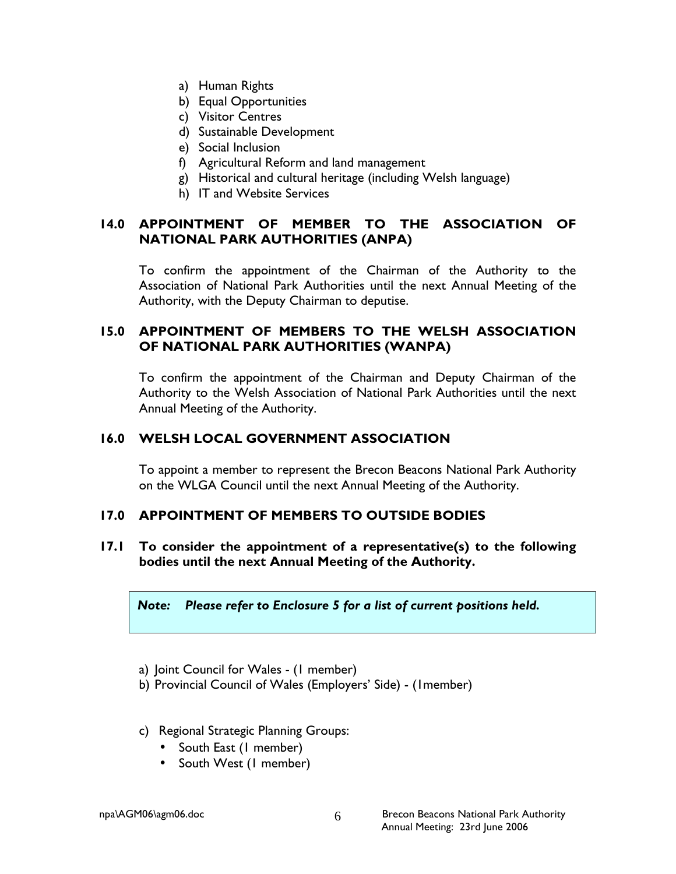- a) Human Rights
- b) Equal Opportunities
- c) Visitor Centres
- d) Sustainable Development
- e) Social Inclusion
- f) Agricultural Reform and land management
- g) Historical and cultural heritage (including Welsh language)
- h) IT and Website Services

## 14.0 APPOINTMENT OF MEMBER TO THE ASSOCIATION OF NATIONAL PARK AUTHORITIES (ANPA)

To confirm the appointment of the Chairman of the Authority to the Association of National Park Authorities until the next Annual Meeting of the Authority, with the Deputy Chairman to deputise.

### 15.0 APPOINTMENT OF MEMBERS TO THE WELSH ASSOCIATION OF NATIONAL PARK AUTHORITIES (WANPA)

To confirm the appointment of the Chairman and Deputy Chairman of the Authority to the Welsh Association of National Park Authorities until the next Annual Meeting of the Authority.

## 16.0 WELSH LOCAL GOVERNMENT ASSOCIATION

 To appoint a member to represent the Brecon Beacons National Park Authority on the WLGA Council until the next Annual Meeting of the Authority.

#### 17.0 APPOINTMENT OF MEMBERS TO OUTSIDE BODIES

17.1 To consider the appointment of a representative(s) to the following bodies until the next Annual Meeting of the Authority.

#### Note: Please refer to Enclosure 5 for a list of current positions held.

- a) Joint Council for Wales (1 member)
- b) Provincial Council of Wales (Employers' Side) (1member)
- c) Regional Strategic Planning Groups:
	- South East (1 member)
	- South West (1 member)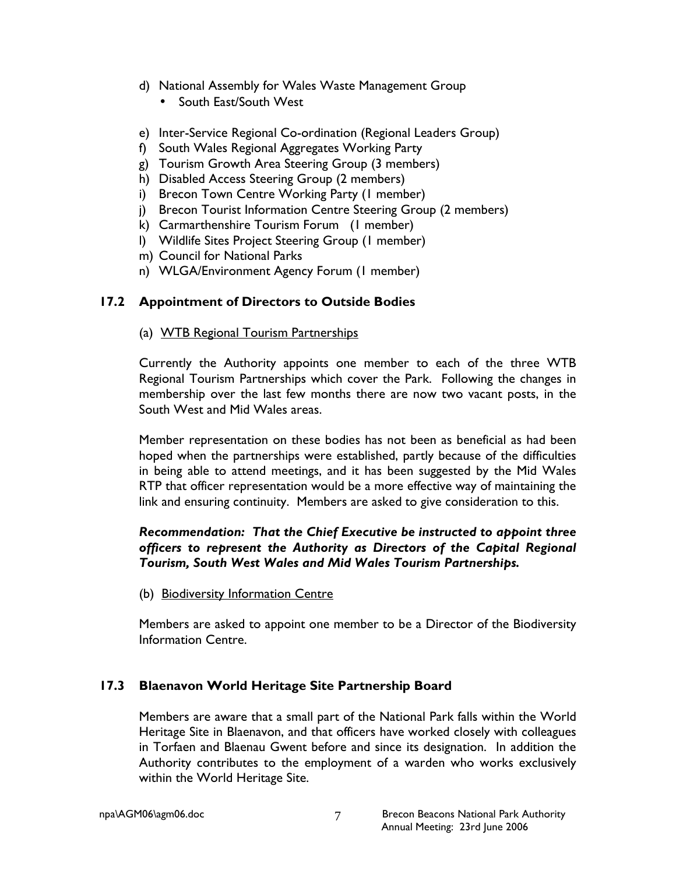- d) National Assembly for Wales Waste Management Group
	- South East/South West
- e) Inter-Service Regional Co-ordination (Regional Leaders Group)
- f) South Wales Regional Aggregates Working Party
- g) Tourism Growth Area Steering Group (3 members)
- h) Disabled Access Steering Group (2 members)
- i) Brecon Town Centre Working Party (1 member)
- j) Brecon Tourist Information Centre Steering Group (2 members)
- k) Carmarthenshire Tourism Forum (1 member)
- l) Wildlife Sites Project Steering Group (1 member)
- m) Council for National Parks
- n) WLGA/Environment Agency Forum (1 member)

## 17.2 Appointment of Directors to Outside Bodies

### (a) WTB Regional Tourism Partnerships

Currently the Authority appoints one member to each of the three WTB Regional Tourism Partnerships which cover the Park. Following the changes in membership over the last few months there are now two vacant posts, in the South West and Mid Wales areas.

Member representation on these bodies has not been as beneficial as had been hoped when the partnerships were established, partly because of the difficulties in being able to attend meetings, and it has been suggested by the Mid Wales RTP that officer representation would be a more effective way of maintaining the link and ensuring continuity. Members are asked to give consideration to this.

## Recommendation: That the Chief Executive be instructed to appoint three officers to represent the Authority as Directors of the Capital Regional Tourism, South West Wales and Mid Wales Tourism Partnerships.

## (b) Biodiversity Information Centre

 Members are asked to appoint one member to be a Director of the Biodiversity Information Centre.

## 17.3 Blaenavon World Heritage Site Partnership Board

Members are aware that a small part of the National Park falls within the World Heritage Site in Blaenavon, and that officers have worked closely with colleagues in Torfaen and Blaenau Gwent before and since its designation. In addition the Authority contributes to the employment of a warden who works exclusively within the World Heritage Site.